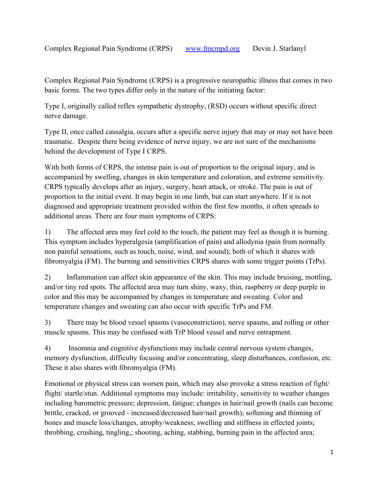Complex Regional Pain Syndrome (CRPS) is a progressive neuropathic illness that comes in two basic forms. The two types differ only in the nature of the initiating factor:

Type I, originally called reflex sympathetic dystrophy, (RSD) occurs without specific direct nerve damage.

Type II, once called causalgia, occurs after a specific nerve injury that may or may not have been traumatic. Despite there being evidence of nerve injury, we are not sure of the mechanisms behind the development of Type I CRPS.

With both forms of CRPS, the intense pain is out of proportion to the original injury, and is accompanied by swelling, changes in skin temperature and coloration, and extreme sensitivity. CRPS typically develops after an injury, surgery, heart attack, or stroke. The pain is out of proportion to the initial event. It may begin in one limb, but can start anywhere. If it is not diagnosed and appropriate treatment provided within the first few months, it often spreads to additional areas. There are four main symptoms of CRPS:

1) The affected area may feel cold to the touch, the patient may feel as though it is burning. This symptom includes hyperalgesia (amplification of pain) and allodynia (pain from normally non painful sensations, such as touch, noise, wind, and sound); both of which it shares with fibromyalgia (FM). The burning and sensitivities CRPS shares with some trigger points (TrPs).

2) Inflammation can affect skin appearance of the skin. This may include bruising, mottling, and/or tiny red spots. The affected area may turn shiny, waxy, thin, raspberry or deep purple in color and this may be accompanied by changes in temperature and sweating. Color and temperature changes and sweating can also occur with specific TrPs and FM.

3) There may be blood vessel spasms (vasoconstriction), nerve spasms, and rolling or other muscle spasms. This may be confused with TrP blood vessel and nerve entrapment.

4) Insomnia and cognitive dysfunctions may include central nervous system changes, memory dysfunction, difficulty focusing and/or concentrating, sleep disturbances, confusion, etc. These it also shares with fibromyalgia (FM).

Emotional or physical stress can worsen pain, which may also provoke a stress reaction of fight/ flight/startle/stun. Additional symptoms may include: irritability, sensitivity to weather changes including barometric pressure; depression, fatigue; changes in hair/nail growth (nails can become brittle, cracked, or grooved - increased/decreased hair/nail growth); softening and thinning of bones and muscle loss/changes, atrophy/weakness; swelling and stiffness in effected joints; throbbing, crushing, tingling,; shooting, aching, stabbing, burning pain in the affected area;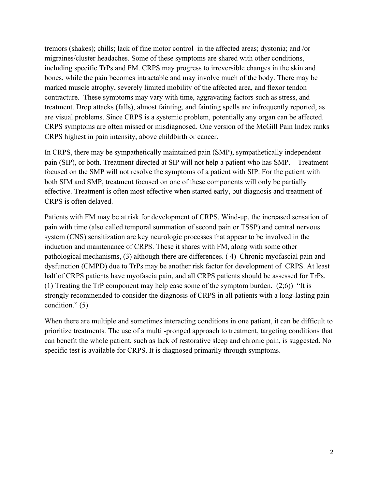tremors (shakes); chills; lack of fine motor control in the affected areas; dystonia; and /or migraines/cluster headaches. Some of these symptoms are shared with other conditions, including specific TrPs and FM. CRPS may progress to irreversible changes in the skin and bones, while the pain becomes intractable and may involve much of the body. There may be marked muscle atrophy, severely limited mobility of the affected area, and flexor tendon contracture. These symptoms may vary with time, aggravating factors such as stress, and treatment. Drop attacks (falls), almost fainting, and fainting spells are infrequently reported, as are visual problems. Since CRPS is a systemic problem, potentially any organ can be affected. CRPS symptoms are often missed or misdiagnosed. One version of the McGill Pain Index ranks CRPS highest in pain intensity, above childbirth or cancer.

In CRPS, there may be sympathetically maintained pain (SMP), sympathetically independent pain (SIP), or both. Treatment directed at SIP will not help a patient who has SMP. Treatment focused on the SMP will not resolve the symptoms of a patient with SIP. For the patient with both SIM and SMP, treatment focused on one of these components will only be partially effective. Treatment is often most effective when started early, but diagnosis and treatment of CRPS is often delayed.

Patients with FM may be at risk for development of CRPS. Wind-up, the increased sensation of pain with time (also called temporal summation of second pain or TSSP) and central nervous system (CNS) sensitization are key neurologic processes that appear to be involved in the induction and maintenance of CRPS. These it shares with FM, along with some other pathological mechanisms, (3) although there are differences. ( 4) Chronic myofascial pain and dysfunction (CMPD) due to TrPs may be another risk factor for development of CRPS. At least half of CRPS patients have myofascia pain, and all CRPS patients should be assessed for TrPs. (1) Treating the TrP component may help ease some of the symptom burden. (2;6)) "It is strongly recommended to consider the diagnosis of CRPS in all patients with a long-lasting pain condition." (5)

When there are multiple and sometimes interacting conditions in one patient, it can be difficult to prioritize treatments. The use of a multi -pronged approach to treatment, targeting conditions that can benefit the whole patient, such as lack of restorative sleep and chronic pain, is suggested. No specific test is available for CRPS. It is diagnosed primarily through symptoms.